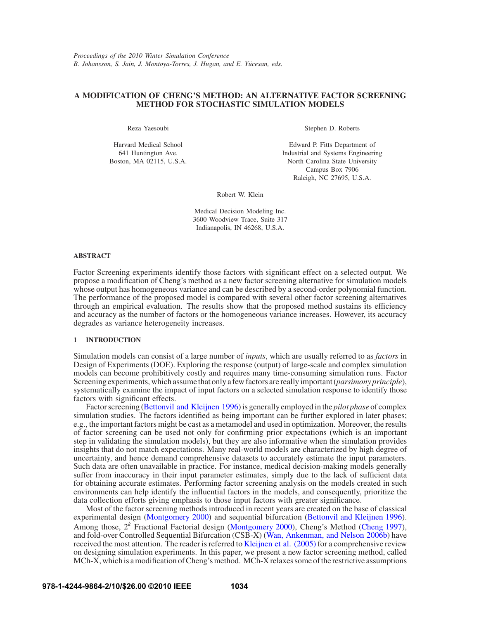## **A MODIFICATION OF CHENG'S METHOD: AN ALTERNATIVE FACTOR SCREENING METHOD FOR STOCHASTIC SIMULATION MODELS**

Reza Yaesoubi

Harvard Medical School 641 Huntington Ave. Boston, MA 02115, U.S.A. Stephen D. Roberts

Edward P. Fitts Department of Industrial and Systems Engineering North Carolina State University Campus Box 7906 Raleigh, NC 27695, U.S.A.

Robert W. Klein

Medical Decision Modeling Inc. 3600 Woodview Trace, Suite 317 Indianapolis, IN 46268, U.S.A.

## **ABSTRACT**

Factor Screening experiments identify those factors with significant effect on a selected output. We propose a modification of Cheng's method as a new factor screening alternative for simulation models whose output has homogeneous variance and can be described by a second-order polynomial function. The performance of the proposed model is compared with several other factor screening alternatives through an empirical evaluation. The results show that the proposed method sustains its efficiency and accuracy as the number of factors or the homogeneous variance increases. However, its accuracy degrades as variance heterogeneity increases.

## **1 INTRODUCTION**

Simulation models can consist of a large number of *inputs*, which are usually referred to as *factors* in Design of Experiments (DOE). Exploring the response (output) of large-scale and complex simulation models can become prohibitively costly and requires many time-consuming simulation runs. Factor Screening experiments, which assume that only a few factors are really important (*parsimony principle*), systematically examine the impact of input factors on a selected simulation response to identify those factors with significant effects.

Factor screening (Bettonvil and Kleijnen 1996) is generally employed in the *pilot phase* of complex simulation studies. The factors identified as being important can be further explored in later phases; e.g., the important factors might be cast as a metamodel and used in optimization. Moreover, the results of factor screening can be used not only for confirming prior expectations (which is an important step in validating the simulation models), but they are also informative when the simulation provides insights that do not match expectations. Many real-world models are characterized by high degree of uncertainty, and hence demand comprehensive datasets to accurately estimate the input parameters. Such data are often unavailable in practice. For instance, medical decision-making models generally suffer from inaccuracy in their input parameter estimates, simply due to the lack of sufficient data for obtaining accurate estimates. Performing factor screening analysis on the models created in such environments can help identify the influential factors in the models, and consequently, prioritize the data collection efforts giving emphasis to those input factors with greater significance.

Most of the factor screening methods introduced in recent years are created on the base of classical experimental design (Montgomery 2000) and sequential bifurcation (Bettonvil and Kleijnen 1996). Among those, 2*<sup>k</sup>* Fractional Factorial design (Montgomery 2000), Cheng's Method (Cheng 1997), and fold-over Controlled Sequential Bifurcation (CSB-X) (Wan, Ankenman, and Nelson 2006b) have received the most attention. The reader is referred to Kleijnen et al. (2005) for a comprehensive review on designing simulation experiments. In this paper, we present a new factor screening method, called MCh-X, which is a modification of Cheng's method. MCh-X relaxes some of the restrictive assumptions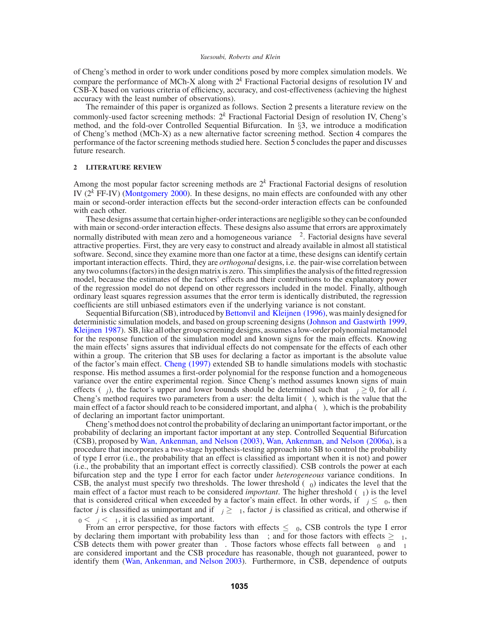of Cheng's method in order to work under conditions posed by more complex simulation models. We compare the performance of MCh-X along with 2*<sup>k</sup>* Fractional Factorial designs of resolution IV and CSB-X based on various criteria of efficiency, accuracy, and cost-effectiveness (achieving the highest accuracy with the least number of observations).

The remainder of this paper is organized as follows. Section 2 presents a literature review on the commonly-used factor screening methods:  $2^k$  Fractional Factorial Design of resolution IV, Cheng's method, and the fold-over Controlled Sequential Bifurcation. In §3, we introduce a modification of Cheng's method (MCh-X) as a new alternative factor screening method. Section 4 compares the performance of the factor screening methods studied here. Section 5 concludes the paper and discusses future research.

## **2 LITERATURE REVIEW**

Among the most popular factor screening methods are  $2^k$  Fractional Factorial designs of resolution IV  $(2^k$  FF-IV) (Montgomery 2000). In these designs, no main effects are confounded with any other main or second-order interaction effects but the second-order interaction effects can be confounded with each other.

These designs assume that certain higher-order interactions are negligible so they can be confounded with main or second-order interaction effects. These designs also assume that errors are approximately normally distributed with mean zero and a homogeneous variance  $\sigma^2$ . Factorial designs have several attractive properties. First, they are very easy to construct and already available in almost all statistical software. Second, since they examine more than one factor at a time, these designs can identify certain important interaction effects. Third, they are *orthogonal* designs, i.e. the pair-wise correlation between any two columns (factors) in the design matrix is zero. This simplifies the analysis of the fitted regression model, because the estimates of the factors' effects and their contributions to the explanatory power of the regression model do not depend on other regressors included in the model. Finally, although ordinary least squares regression assumes that the error term is identically distributed, the regression coefficients are still unbiased estimators even if the underlying variance is not constant.

Sequential Bifurcation (SB), introduced by Bettonvil and Kleijnen (1996), was mainly designed for deterministic simulation models, and based on group screening designs (Johnson and Gastwirth 1999, Kleijnen 1987). SB, like all other group screening designs, assumes a low-order polynomial metamodel for the response function of the simulation model and known signs for the main effects. Knowing the main effects' signs assures that individual effects do not compensate for the effects of each other within a group. The criterion that SB uses for declaring a factor as important is the absolute value of the factor's main effect. Cheng (1997) extended SB to handle simulations models with stochastic response. His method assumes a first-order polynomial for the response function and a homogeneous variance over the entire experimental region. Since Cheng's method assumes known signs of main effects ( $\beta$ *j*), the factor's upper and lower bounds should be determined such that  $\beta$ *j* ≥ 0, for all *i*. Cheng's method requires two parameters from a user: the delta limit  $(\delta)$ , which is the value that the main effect of a factor should reach to be considered important, and alpha  $(\alpha)$ , which is the probability of declaring an important factor unimportant.

Cheng's method does not control the probability of declaring an unimportant factor important, or the probability of declaring an important factor important at any step. Controlled Sequential Bifurcation (CSB), proposed by Wan, Ankenman, and Nelson (2003), Wan, Ankenman, and Nelson (2006a), is a procedure that incorporates a two-stage hypothesis-testing approach into SB to control the probability of type I error (i.e., the probability that an effect is classified as important when it is not) and power (i.e., the probability that an important effect is correctly classified). CSB controls the power at each bifurcation step and the type I error for each factor under *heterogeneous* variance conditions. In CSB, the analyst must specify two thresholds. The lower threshold  $(\Delta_0)$  indicates the level that the main effect of a factor must reach to be considered *important*. The higher threshold  $(\Delta_1)$  is the level that is considered critical when exceeded by a factor's main effect. In other words, if  $\beta_i \leq \Delta_0$ , then factor *j* is classified as unimportant and if  $\beta_j \geq \Delta_1$ , factor *j* is classified as critical, and otherwise if  $\Delta_0 < \beta_i < \Delta_1$ , it is classified as important.

From an error perspective, for those factors with effects  $\leq \Delta_0$ , CSB controls the type I error by declaring them important with probability less than  $\alpha$ ; and for those factors with effects  $\geq \Delta_1$ , CSB detects them with power greater than  $\gamma$ . Those factors whose effects fall between  $\Delta_0$  and  $\Delta_1$ are considered important and the CSB procedure has reasonable, though not guaranteed, power to identify them (Wan, Ankenman, and Nelson 2003). Furthermore, in CSB, dependence of outputs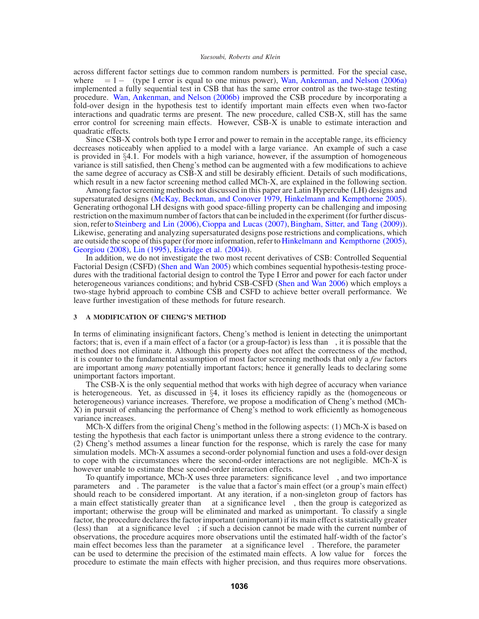across different factor settings due to common random numbers is permitted. For the special case, where  $\alpha = 1 - \gamma$  (type I error is equal to one minus power), Wan, Ankenman, and Nelson (2006a) implemented a fully sequential test in CSB that has the same error control as the two-stage testing procedure. Wan, Ankenman, and Nelson (2006b) improved the CSB procedure by incorporating a fold-over design in the hypothesis test to identify important main effects even when two-factor interactions and quadratic terms are present. The new procedure, called CSB-X, still has the same error control for screening main effects. However, CSB-X is unable to estimate interaction and quadratic effects.

Since CSB-X controls both type I error and power to remain in the acceptable range, its efficiency decreases noticeably when applied to a model with a large variance. An example of such a case is provided in  $\S 4.1$ . For models with a high variance, however, if the assumption of homogeneous variance is still satisfied, then Cheng's method can be augmented with a few modifications to achieve the same degree of accuracy as CSB-X and still be desirably efficient. Details of such modifications, which result in a new factor screening method called MCh-X, are explained in the following section.

Among factor screening methods not discussed in this paper are Latin Hypercube (LH) designs and supersaturated designs (McKay, Beckman, and Conover 1979, Hinkelmann and Kempthorne 2005). Generating orthogonal LH designs with good space-filling property can be challenging and imposing restriction on the maximum number of factors that can be included in the experiment (for further discussion, refer to Steinberg and Lin (2006), Cioppa and Lucas (2007), Bingham, Sitter, and Tang (2009)). Likewise, generating and analyzing supersaturated designs pose restrictions and complications, which are outside the scope of this paper (for more information, refer to Hinkelmann and Kempthorne (2005), Georgiou (2008), Lin (1995), Eskridge et al. (2004)).

In addition, we do not investigate the two most recent derivatives of CSB: Controlled Sequential Factorial Design (CSFD) (Shen and Wan 2005) which combines sequential hypothesis-testing procedures with the traditional factorial design to control the Type I Error and power for each factor under heterogeneous variances conditions; and hybrid CSB-CSFD (Shen and Wan 2006) which employs a two-stage hybrid approach to combine CSB and CSFD to achieve better overall performance. We leave further investigation of these methods for future research.

### **3 A MODIFICATION OF CHENG'S METHOD**

In terms of eliminating insignificant factors, Cheng's method is lenient in detecting the unimportant factors; that is, even if a main effect of a factor (or a group-factor) is less than  $\delta$ , it is possible that the method does not eliminate it. Although this property does not affect the correctness of the method, it is counter to the fundamental assumption of most factor screening methods that only a *few* factors are important among *many* potentially important factors; hence it generally leads to declaring some unimportant factors important.

The CSB-X is the only sequential method that works with high degree of accuracy when variance is heterogeneous. Yet, as discussed in §4, it loses its efficiency rapidly as the (homogeneous or heterogeneous) variance increases. Therefore, we propose a modification of Cheng's method (MCh-X) in pursuit of enhancing the performance of Cheng's method to work efficiently as homogeneous variance increases.

MCh-X differs from the original Cheng's method in the following aspects: (1) MCh-X is based on testing the hypothesis that each factor is unimportant unless there a strong evidence to the contrary. (2) Cheng's method assumes a linear function for the response, which is rarely the case for many simulation models. MCh-X assumes a second-order polynomial function and uses a fold-over design to cope with the circumstances where the second-order interactions are not negligible. MCh-X is however unable to estimate these second-order interaction effects.

To quantify importance, MCh-X uses three parameters: significance level  $\alpha$ , and two importance parameters  $\delta$  and  $\tau$ . The parameter  $\delta$  is the value that a factor's main effect (or a group's main effect) should reach to be considered important. At any iteration, if a non-singleton group of factors has a main effect statistically greater than  $\delta$  at a significance level  $\alpha$ , then the group is categorized as important; otherwise the group will be eliminated and marked as unimportant. To classify a single factor, the procedure declares the factor important (unimportant) if its main effect is statistically greater (less) than  $\delta$  at a significance level  $\alpha$ ; if such a decision cannot be made with the current number of observations, the procedure acquires more observations until the estimated half-width of the factor's main effect becomes less than the parameter  $\tau$  at a significance level  $\alpha$ . Therefore, the parameter  $\tau$ can be used to determine the precision of the estimated main effects. A low value for  $\tau$  forces the procedure to estimate the main effects with higher precision, and thus requires more observations.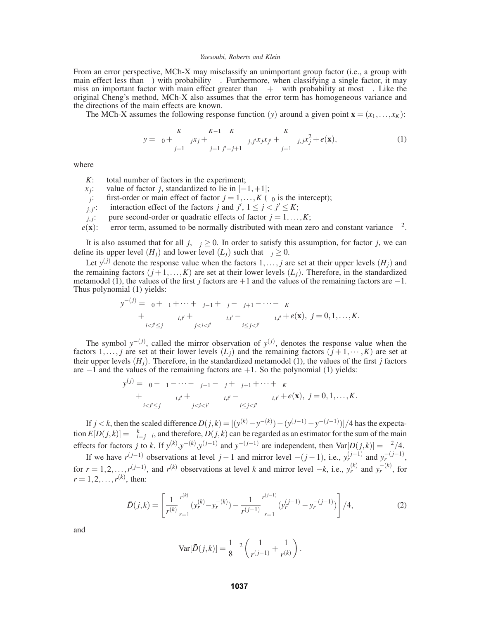From an error perspective, MCh-X may misclassify an unimportant group factor (i.e., a group with main effect less than  $\delta$ ) with probability  $\alpha$ . Furthermore, when classifying a single factor, it may miss an important factor with main effect greater than  $\delta + \tau$  with probability at most  $\alpha$ . Like the original Cheng's method, MCh-X also assumes that the error term has homogeneous variance and the directions of the main effects are known.

The MCh-X assumes the following response function (*y*) around a given point  $\mathbf{x} = (x_1, \dots, x_K)$ :

$$
y = \beta_0 + \sum_{j=1}^{K} \beta_j x_j + \sum_{j=1}^{K-1} \sum_{j'=j+1}^{K} \beta_{j,j'} x_j x_{j'} + \sum_{j=1}^{K} \beta_{j,j} x_j^2 + e(\mathbf{x}), \qquad (1)
$$

where

*K*: total number of factors in the experiment; *x<sub>j</sub>*: value of factor *j*, standardized to lie in [−1,+1];<br> $\beta_j$ : first-order or main effect of factor *j* = 1,..., *K* (*f*  $β_j$ : first-order or main effect of factor  $j = 1, ..., K$  ( $β_0$  is the intercept);<br> $β_{j,j'}$ : interaction effect of the factors *j* and  $j', 1 \le j < j' \le K$ ;  $\beta_{j,j'}$ : interaction effect of the factors *j* and  $j'$ ,  $1 \le j < j' \le K$ ;  $\beta_{i,j}$ : pure second-order or quadratic effects of factor  $j = 1, ..., K$ ;  $e(x)$ : error term, assumed to be normally distributed with mean zero and constant variance  $\sigma^2$ .

It is also assumed that for all *j*,  $\beta_j \geq 0$ . In order to satisfy this assumption, for factor *j*, we can define its upper level  $(H_j)$  and lower level  $(L_j)$  such that  $\beta_j \geq 0$ .

Let  $y^{(j)}$  denote the response value when the factors 1,..., *j* are set at their upper levels  $(H_i)$  and the remaining factors  $(j+1,...,K)$  are set at their lower levels  $(L<sub>i</sub>)$ . Therefore, in the standardized metamodel (1), the values of the first *j* factors are  $+1$  and the values of the remaining factors are  $-1$ . Thus polynomial (1) yields:

$$
y^{-(j)} = \beta_0 + \beta_1 + \cdots + \beta_{j-1} + \beta_j - \beta_{j+1} - \cdots - \beta_K + \sum_{i < i' \leq j} \sum_{j} \beta_{i,i'} + \sum_{j < i < i'} \sum_{i < j < i'} \beta_{i,i'} - \sum_{i < j < i'} \sum_{j < i'} \beta_{i,i'} + e(\mathbf{x}), \ j = 0, 1, \ldots, K.
$$

The symbol *y*−(*j*) , called the mirror observation of *y*(*j*) , denotes the response value when the factors  $1, \ldots, j$  are set at their lower levels  $(L_j)$  and the remaining factors  $(j+1, \cdots, K)$  are set at their upper levels  $(H_i)$ . Therefore, in the standardized metamodel (1), the values of the first *j* factors

are 
$$
-1
$$
 and the values of the remaining factors are  $+1$ . So the polynomial (1) yields:  
\n
$$
y^{(j)} = \beta_0 - \beta_1 - \dots - \beta_{j-1} - \beta_j + \beta_{j+1} + \dots + \beta_K + \sum_{i < i' \le j} \sum_{j < i < i'} \beta_{i,i'} - \sum_{i \le j < i'} \sum_{j < i'} \beta_{i,i'} + e(\mathbf{x}), \ j = 0, 1, \dots, K.
$$

If *j* < *k*, then the scaled difference  $D(j,k) = [(y^{(k)} - y^{-(k)}) - (y^{(j-1)} - y^{-(j-1)})]/4$  has the expectation  $E[D(j,k)] = \sum_{i=j}^{k} \beta_i$ , and therefore,  $D(j,k)$  can be regarded as an estimator for the sum of the main effects for factors *j* to *k*. If  $y^{(k)}$ ,  $y^{-(k)}$ ,  $y^{(j-1)}$  and  $y^{-(j-1)}$  are independent, then  $Var[D(j,k)] = \sigma^2/4$ .

If we have  $r^{(j-1)}$  observations at level  $j-1$  and mirror level  $-(j-1)$ , i.e.,  $y_r^{(j-1)}$  and  $y_r^{-(j-1)}$ , for  $r = 1, 2, \ldots, r^{(j-1)}$ , and  $r^{(k)}$  observations at level *k* and mirror level  $-k$ , i.e.,  $y_r^{(k)}$  and  $y_r^{-(k)}$ , for  $r = 1, 2, \ldots, r^{(k)}$ , then:

$$
\bar{D}(j,k) = \left[\frac{1}{r^{(k)}} \sum_{r=1}^{r^{(k)}} (y_r^{(k)} - y_r^{-(k)}) - \frac{1}{r^{(j-1)}} \sum_{r=1}^{r^{(j-1)}} (y_r^{(j-1)} - y_r^{-(j-1)})\right] / 4,
$$
\n(2)

and

$$
\text{Var}[\bar{D}(j,k)] = \frac{1}{8}\sigma^2 \left(\frac{1}{r^{(j-1)}} + \frac{1}{r^{(k)}}\right).
$$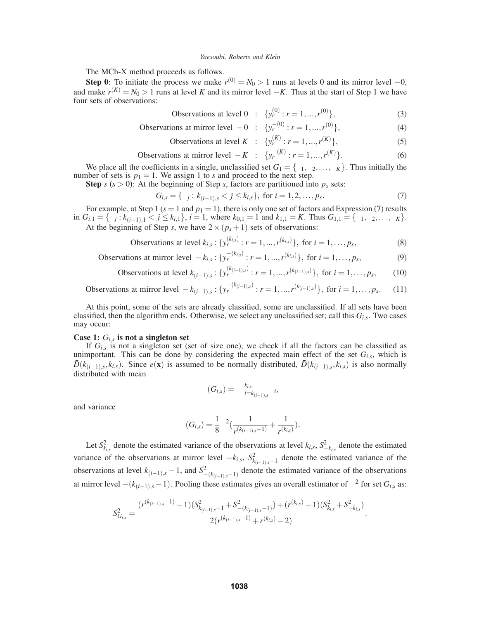The MCh-X method proceeds as follows.

**Step 0**: To initiate the process we make  $r^{(0)} = N_0 > 1$  runs at levels 0 and its mirror level  $-0$ , and make  $r^{(K)} = N_0 > 1$  runs at level *K* and its mirror level  $-K$ . Thus at the start of Step 1 we have four sets of observations:

Observations at level 0 : {
$$
y_r^{(0)} : r = 1,...,r^{(0)}
$$
}, (3)

Observations at mirror level 
$$
-0
$$
 : { $y_r^{-(0)}$  :  $r = 1,...,r^{(0)}$ }, (4)

Observations at level *K* : {
$$
y_r^{(K)}
$$
 :  $r = 1,...,r^{(K)}$ }, (5)

Observations at mirror level 
$$
-K : \{y_r^{-(K)} : r = 1, ..., r^{(K)}\}.
$$
 (6)

We place all the coefficients in a single, unclassified set  $G_1 = {\beta_1, \beta_2, ..., \beta_K}$ . Thus initially the number of sets is  $p_1 = 1$ . We assign 1 to *s* and proceed to the next step.

**Step** *s* ( $s > 0$ ): At the beginning of Step *s*, factors are partitioned into  $p_s$  sets:

$$
G_{i,s} = \{ \beta_j : k_{(i-1),s} < j \le k_{i,s} \}, \text{ for } i = 1, 2, \dots, p_s. \tag{7}
$$

For example, at Step 1 ( $s = 1$  and  $p_1 = 1$ ), there is only one set of factors and Expression (7) results in  $G_{i,1} = \{\beta_j : k_{(i-1),1} < j \leq k_{i,1}\}, i = 1$ , where  $k_{0,1} = 1$  and  $k_{1,1} = K$ . Thus  $G_{1,1} = \{\beta_1, \beta_2, \ldots, \beta_K\}.$ At the beginning of Step *s*, we have  $2 \times (p_s + 1)$  sets of observations:

Observations at level 
$$
k_{i,s}: \{y_r^{(k_{i,s})}: r = 1, ..., r^{(k_{i,s})}\}\
$$
, for  $i = 1, ..., p_s$ , (8)

Observations at mirror level 
$$
-k_{i,s}
$$
: { $y_r^{-(k_{i,s})}$ :  $r = 1,...,r^{(k_{i,s})}$ }, for  $i = 1,...,p_s$ , (9)

Observations at level 
$$
k_{(i-1),s}
$$
: { $y_r^{(k_{(i-1),s})}$ :  $r = 1, ..., r^{(k_{(i-1),s})}$ }, for  $i = 1, ..., p_s$ , (10)

Observations at mirror level 
$$
-k_{(i-1),s}
$$
: { $y_r^{-(k_{(i-1),s})}$ :  $r = 1,...,r^{(k_{(i-1),s})}$ }, for  $i = 1,...,p_s$ . (11)

At this point, some of the sets are already classified, some are unclassified. If all sets have been classified, then the algorithm ends. Otherwise, we select any unclassified set; call this *Gi*,*s*. Two cases may occur:

## **Case 1:** *Gi*,*<sup>s</sup>* **is not a singleton set**

If *Gi*,*<sup>s</sup>* is not a singleton set (set of size one), we check if all the factors can be classified as unimportant. This can be done by considering the expected main effect of the set  $G_{i,s}$ , which is  $\bar{D}(k_{(i-1),s},k_{i,s})$ . Since  $e(\mathbf{x})$  is assumed to be normally distributed,  $\bar{D}(k_{(i-1),s},k_{i,s})$  is also normally distributed with mean

$$
\mu(G_{i,s}) = \sum_{i=k_{(i-1),s}}^{k_{i,s}} \beta_i,
$$

and variance

$$
\upsilon(G_{i,s})=\frac{1}{8}\sigma^2(\frac{1}{r^{(k_{(i-1),s}-1)}}+\frac{1}{r^{(k_{i,s})}}).
$$

Let  $S_{k_{i,s}}^2$  denote the estimated variance of the observations at level  $k_{i,s}$ ,  $S_{-k_{i,s}}^2$  denote the estimated variance of the observations at mirror level  $-k_{i,s}$ ,  $S^2_{k_{(i-1),s}-1}$  denote the estimated variance of the observations at level  $k_{(i-1),s} - 1$ , and  $S^2_{-(k_{(i-1),s}-1)}$  denote the estimated variance of the observations at mirror level  $-(k_{(i-1),s}-1)$ . Pooling these estimates gives an overall estimator of  $\sigma^2$  for set  $G_{i,s}$  as:

$$
S_{G_{i,s}}^2 = \frac{(r^{(k_{(i-1),s}-1)}-1)(S_{k_{(i-1),s}-1}^2+S_{-(k_{(i-1),s}-1)}^2)+(r^{(k_{i,s})}-1)(S_{k_{i,s}}^2+S_{-k_{i,s}}^2)}{2(r^{(k_{(i-1),s}-1)}+r^{(k_{i,s})}-2)}.
$$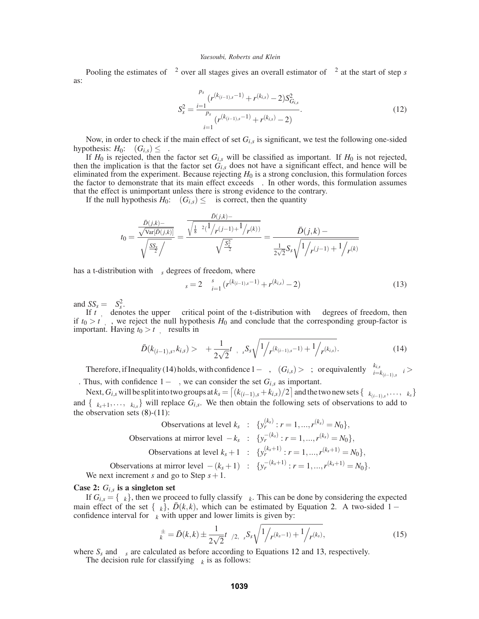Pooling the estimates of  $\sigma^2$  over all stages gives an overall estimator of  $\sigma^2$  at the start of step *s* as:

$$
S_s^2 = \frac{\sum\limits_{i=1}^{p_s} (r^{(k_{(i-1),s}-1)} + r^{(k_{i,s})} - 2) S_{G_{i,s}}^2}{\sum\limits_{i=1}^{p_s} (r^{(k_{(i-1),s}-1)} + r^{(k_{i,s})} - 2)}.
$$
\n(12)

Now, in order to check if the main effect of set *Gi*,*<sup>s</sup>* is significant, we test the following one-sided hypothesis:  $H_0$ :  $\mu(G_{i,s}) \leq \delta$ .

If  $H_0$  is rejected, then the factor set  $G_{i,s}$  will be classified as important. If  $H_0$  is not rejected, then the implication is that the factor set  $G_{i,s}$  does not have a significant effect, and hence will be eliminated from the experiment. Because rejecting  $H_0$  is a strong conclusion, this formulation forces the factor to demonstrate that its main effect exceeds  $\delta$ . In other words, this formulation assumes that the effect is unimportant unless there is strong evidence to the contrary.

If the null hypothesis  $H_0: \mu(G_{i,s}) \leq \delta$  is correct, then the quantity

$$
t_0 = \frac{\frac{\bar{D}(j,k) - \delta}{\sqrt{\text{Var}[\bar{D}(j,k)]}}}{\sqrt{\frac{SS_s}{\sigma^2}}/\omega} = \frac{\frac{\bar{D}(j,k) - \delta}{\sqrt{\frac{1}{8}\sigma^2(\frac{1}{r}(j-1)+\frac{1}{r}(k))}}}{\sqrt{\frac{S_s^2}{\sigma^2}}} = \frac{\bar{D}(j,k) - \delta}{\frac{1}{2\sqrt{2}}S_s\sqrt{\frac{1}{r}(j-1)+\frac{1}{r}(k)}}
$$

has a t-distribution with <sup>ω</sup>*<sup>s</sup>* degrees of freedom, where

$$
\omega_s = 2\sum_{i=1}^s \left( r^{(k_{(i-1),s}-1)} + r^{(k_{i,s})} - 2 \right) \tag{13}
$$

and  $SS_s = \omega S_s^2$ .

If  $t_{\alpha,\omega}$  denotes the upper  $\alpha$  critical point of the t-distribution with  $\omega$  degrees of freedom, then if  $t_0 > t_{\alpha,\omega}$ , we reject the null hypothesis  $H_0$  and conclude that the corresponding group-factor is important. Having  $t_0 > t_{\alpha,\omega}$  results in

$$
\bar{D}(k_{(i-1),s},k_{i,s}) > \delta + \frac{1}{2\sqrt{2}}t_{\alpha,\omega_s}S_s\sqrt{1/ r^{(k_{(i-1),s}-1)} + 1/ r^{(k_{i,s})}}.
$$
\n(14)

Therefore, if Inequality (14) holds, with confidence  $1-\alpha$ ,  $\mu(G_{i,s}) > \delta$ ; or equivalently  $\sum_{i=k_{(i-1),s}}^{k_{i,s}} \beta_i$ δ. Thus, with confidence  $1 - \alpha$ , we can consider the set  $G_{i,s}$  as important.

Next,  $G_{i,s}$  will be split into two groups at  $k_s = \left[ (k_{(i-1),s} + k_{i,s})/2 \right]$  and the two new sets  $\{\beta_{k_{(i-1),s}}, \ldots, \beta_{k_s}\}$ and  $\{\beta_{k_s+1},\ldots,\beta_{k_i,s}\}\$  will replace  $G_{i,s}$ . We then obtain the following sets of observations to add to the observation sets  $(8)-(11)$ :

Observations at level 
$$
k_s
$$
 :  $\{y_r^{(k_s)} : r = 1, \ldots, r^{(k_s)} = N_0\}$ ,

\nObservations at mirror level  $-k_s$  :  $\{y_r^{-(k_s)} : r = 1, \ldots, r^{(k_s)} = N_0\}$ ,

\nObservations at level  $k_s + 1$  :  $\{y_r^{(k_s+1)} : r = 1, \ldots, r^{(k_s+1)} = N_0\}$ ,

\nObservations at mirror level  $-(k_s + 1)$  :  $\{y_r^{-(k_s+1)} : r = 1, \ldots, r^{(k_s+1)} = N_0\}$ .

\nWe next increment  $s$  and go to Step  $s + 1$ .

# **Case 2:** *Gi*,*<sup>s</sup>* **is a singleton set**

If  $G_{i,s} = \{\beta_k\}$ , then we proceed to fully classify  $\beta_k$ . This can be done by considering the expected main effect of the set  $\{\beta_k\}$ ,  $\bar{D}(k,k)$ , which can be estimated by Equation 2. A two-sided  $1 - \alpha$ confidence interval for  $\hat{\beta}_k$  with upper and lower limits is given by:

$$
\beta_k^{\pm} = \bar{D}(k,k) \pm \frac{1}{2\sqrt{2}} t_{\alpha/2,\omega_s} S_s \sqrt{\frac{1}{r^{(k_s-1)}} + \frac{1}{r^{(k_s)}}},\tag{15}
$$

where  $S_s$  and  $\omega_s$  are calculated as before according to Equations 12 and 13, respectively.

The decision rule for classifying  $\beta_k$  is as follows: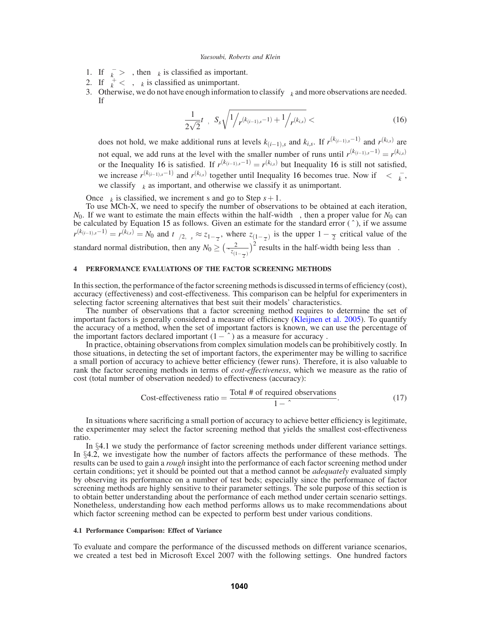- 1. If  $\beta_k^- > \delta$ , then  $\beta_k$  is classified as important.
- 2. If  $\beta_k^+ < \delta$ ,  $\beta_k$  is classified as unimportant.
- 3. Otherwise, we do not have enough information to classify  $\beta_k$  and more observations are needed. If

$$
\frac{1}{2\sqrt{2}}t_{\alpha,\omega}S_s\sqrt{1/ r^{(k_{(i-1),s}-1)} + 1/ r^{(k_{i,s})}} < \tau
$$
\n(16)

does not hold, we make additional runs at levels  $k_{(i-1),s}$  and  $k_{i,s}$ . If  $r^{(k_{(i-1),s}-1)}$  and  $r^{(k_{i,s})}$  are not equal, we add runs at the level with the smaller number of runs until  $r^{(k_{(i-1),s}-1)} = r^{(k_{i,s})}$ or the Inequality 16 is satisfied. If  $r^{(k_{(i-1),s}-1)} = r^{(k_{i,s})}$  but Inequality 16 is still not satisfied, we increase  $r^{(k_{(i-1),s}-1)}$  and  $r^{(k_{i,s})}$  together until Inequality 16 becomes true. Now if  $\delta < \beta_k^-$ , we classify  $\beta_k$  as important, and otherwise we classify it as unimportant.

Once  $β_k$  is classified, we increment s and go to Step  $s+1$ .

To use MCh-X, we need to specify the number of observations to be obtained at each iteration, *N*<sub>0</sub>. If we want to estimate the main effects within the half-width  $\tau$ , then a proper value for *N*<sub>0</sub> can be calculated by Equation 15 as follows. Given an estimate for the standard error  $(\hat{\sigma})$ , if we assume  $r^{(k_{(i-1),s}-1)} = r^{(k_{i,s})} = N_0$  and  $t_{\alpha/2,\omega_s} \approx z_{1-\frac{\alpha}{2}}$ , where  $z_{(1-\frac{\alpha}{2})}$  is the upper  $1-\frac{\alpha}{2}$  critical value of the standard normal distribution, then any  $N_0 \geq \left(\frac{2\tau}{\hat{\sigma}z_{(1-\frac{\alpha}{2})}}\right)$  $\int^2$  results in the half-width being less than  $\tau$ .

## **4 PERFORMANCE EVALUATIONS OF THE FACTOR SCREENING METHODS**

In this section, the performance of the factor screening methods is discussed in terms of efficiency (cost), accuracy (effectiveness) and cost-effectiveness. This comparison can be helpful for experimenters in selecting factor screening alternatives that best suit their models' characteristics.

The number of observations that a factor screening method requires to determine the set of important factors is generally considered a measure of efficiency (Kleijnen et al. 2005). To quantify the accuracy of a method, when the set of important factors is known, we can use the percentage of the important factors declared important  $(1-\hat{\alpha})$  as a measure for accuracy.

In practice, obtaining observations from complex simulation models can be prohibitively costly. In those situations, in detecting the set of important factors, the experimenter may be willing to sacrifice a small portion of accuracy to achieve better efficiency (fewer runs). Therefore, it is also valuable to rank the factor screening methods in terms of *cost-effectiveness*, which we measure as the ratio of cost (total number of observation needed) to effectiveness (accuracy):

Cost-effectiveness ratio = 
$$
\frac{\text{Total } \# \text{ of required observations}}{1 - \hat{\alpha}}.
$$
 (17)

In situations where sacrificing a small portion of accuracy to achieve better efficiency is legitimate, the experimenter may select the factor screening method that yields the smallest cost-effectiveness ratio.

In §4.1 we study the performance of factor screening methods under different variance settings. In §4.2, we investigate how the number of factors affects the performance of these methods. The results can be used to gain a *rough* insight into the performance of each factor screening method under certain conditions; yet it should be pointed out that a method cannot be *adequately* evaluated simply by observing its performance on a number of test beds; especially since the performance of factor screening methods are highly sensitive to their parameter settings. The sole purpose of this section is to obtain better understanding about the performance of each method under certain scenario settings. Nonetheless, understanding how each method performs allows us to make recommendations about which factor screening method can be expected to perform best under various conditions.

### **4.1 Performance Comparison: Effect of Variance**

To evaluate and compare the performance of the discussed methods on different variance scenarios, we created a test bed in Microsoft Excel 2007 with the following settings. One hundred factors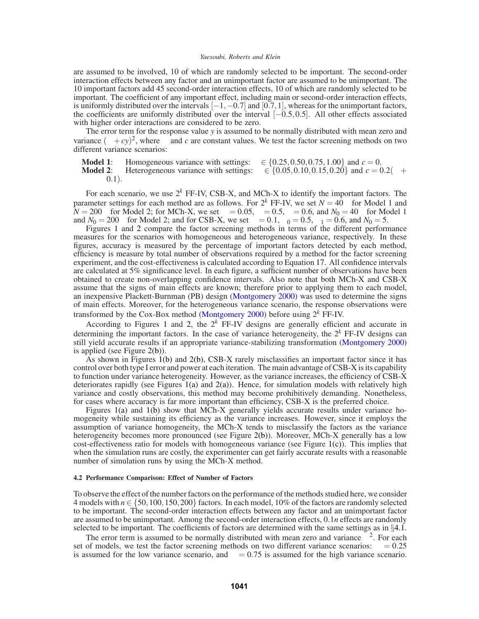are assumed to be involved, 10 of which are randomly selected to be important. The second-order interaction effects between any factor and an unimportant factor are assumed to be unimportant. The 10 important factors add 45 second-order interaction effects, 10 of which are randomly selected to be important. The coefficient of any important effect, including main or second-order interaction effects, is uniformly distributed over the intervals  $[-1,-0.7]$  and  $[0.7,1]$ , whereas for the unimportant factors, the coefficients are uniformly distributed over the interval [−0.5,0.5]. All other effects associated with higher order interactions are considered to be zero.

The error term for the response value *y* is assumed to be normally distributed with mean zero and variance  $(\sigma + cy)^2$ , where  $\sigma$  and *c* are constant values. We test the factor screening methods on two different variance scenarios:

**Model 1:** Homogeneous variance with settings:  $\sigma \in \{0.25, 0.50, 0.75, 1.00\}$  and  $c = 0$ .<br>**Model 2:** Heterogeneous variance with settings:  $\sigma \in \{0.05, 0.10, 0.15, 0.20\}$  and  $c = 0$ . Heterogeneous variance with settings:  $\sigma \in \{0.05, 0.10, 0.15, 0.20\}$  and  $c = 0.2(\sigma +$  $(0.1)$ .

For each scenario, we use  $2^k$  FF-IV, CSB-X, and MCh-X to identify the important factors. The parameter settings for each method are as follows. For  $2^k$  FF-IV, we set  $N = 40\sigma$  for Model 1 and  $\hat{N} = 200\sigma$  for Model 2; for MCh-X, we set  $\alpha = 0.05$ ,  $\delta = 0.5$ ,  $\tau = 0.6$ , and  $N_0 = 40\sigma$  for Model 1 and  $N_0 = 200\sigma$  for Model 2; and for CSB-X, we set  $\alpha = 0.1$ ,  $\Delta_0 = 0.5$ ,  $\Delta_1 = 0.6$ , and  $N_0 = 5$ .

Figures 1 and 2 compare the factor screening methods in terms of the different performance measures for the scenarios with homogeneous and heterogeneous variance, respectively. In these figures, accuracy is measured by the percentage of important factors detected by each method, efficiency is measure by total number of observations required by a method for the factor screening experiment, and the cost-effectiveness is calculated according to Equation 17. All confidence intervals are calculated at 5% significance level. In each figure, a sufficient number of observations have been obtained to create non-overlapping confidence intervals. Also note that both MCh-X and CSB-X assume that the signs of main effects are known; therefore prior to applying them to each model, an inexpensive Plackett-Burnman (PB) design (Montgomery 2000) was used to determine the signs of main effects. Moreover, for the heterogeneous variance scenario, the response observations were transformed by the Cox-Box method (Montgomery 2000) before using  $2^k$  FF-IV.

According to Figures 1 and 2, the  $2^k$  FF-IV designs are generally efficient and accurate in determining the important factors. In the case of variance heterogeneity, the  $2^k$  FF-IV designs can still yield accurate results if an appropriate variance-stabilizing transformation (Montgomery 2000) is applied (see Figure 2(b)).

As shown in Figures 1(b) and 2(b), CSB-X rarely misclassifies an important factor since it has control over both type I error and power at each iteration. The main advantage of CSB-X is its capability to function under variance heterogeneity. However, as the variance increases, the efficiency of CSB-X deteriorates rapidly (see Figures 1(a) and 2(a)). Hence, for simulation models with relatively high variance and costly observations, this method may become prohibitively demanding. Nonetheless, for cases where accuracy is far more important than efficiency, CSB-X is the preferred choice.

Figures 1(a) and 1(b) show that MCh-X generally yields accurate results under variance homogeneity while sustaining its efficiency as the variance increases. However, since it employs the assumption of variance homogeneity, the MCh-X tends to misclassify the factors as the variance heterogeneity becomes more pronounced (see Figure 2(b)). Moreover, MCh-X generally has a low cost-effectiveness ratio for models with homogeneous variance (see Figure  $1(c)$ ). This implies that when the simulation runs are costly, the experimenter can get fairly accurate results with a reasonable number of simulation runs by using the MCh-X method.

### **4.2 Performance Comparison: Effect of Number of Factors**

To observe the effect of the number factors on the performance of the methods studied here, we consider 4 models with  $n \in \{50, 100, 150, 200\}$  factors. In each model, 10% of the factors are randomly selected to be important. The second-order interaction effects between any factor and an unimportant factor are assumed to be unimportant. Among the second-order interaction effects, 0.1*n* effects are randomly selected to be important. The coefficients of factors are determined with the same settings as in  $\S 4.1$ .

The error term is assumed to be normally distributed with mean zero and variance  $\sigma^2$ . For each set of models, we test the factor screening methods on two different variance scenarios:  $\sigma = 0.25$ is assumed for the low variance scenario, and  $\sigma = 0.75$  is assumed for the high variance scenario.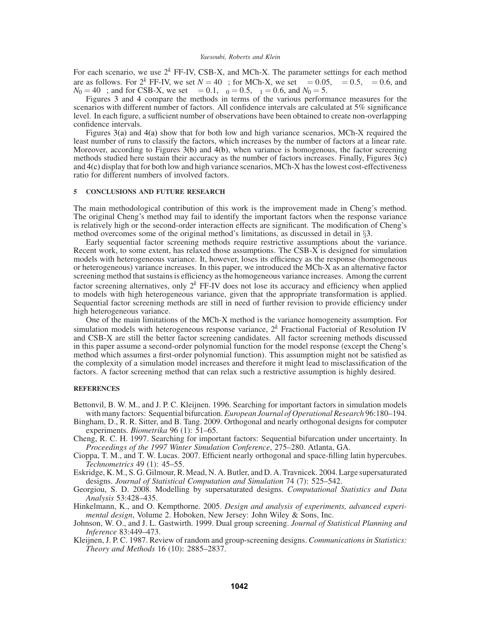For each scenario, we use  $2^k$  FF-IV, CSB-X, and MCh-X. The parameter settings for each method are as follows. For  $2^k$  FF-IV, we set  $N = 40\sigma$ ; for MCh-X, we set  $\alpha = 0.05$ ,  $\delta = 0.5$ ,  $\tau = 0.6$ , and *N*<sub>0</sub> = 40σ; and for CSB-X, we set  $\alpha$  = 0.1,  $\Delta_0$  = 0.5,  $\Delta_1$  = 0.6, and *N*<sub>0</sub> = 5.

Figures 3 and 4 compare the methods in terms of the various performance measures for the scenarios with different number of factors. All confidence intervals are calculated at 5% significance level. In each figure, a sufficient number of observations have been obtained to create non-overlapping confidence intervals.

Figures 3(a) and 4(a) show that for both low and high variance scenarios, MCh-X required the least number of runs to classify the factors, which increases by the number of factors at a linear rate. Moreover, according to Figures 3(b) and 4(b), when variance is homogenous, the factor screening methods studied here sustain their accuracy as the number of factors increases. Finally, Figures 3(c) and 4(c) display that for both low and high variance scenarios, MCh-X has the lowest cost-effectiveness ratio for different numbers of involved factors.

## **5 CONCLUSIONS AND FUTURE RESEARCH**

The main methodological contribution of this work is the improvement made in Cheng's method. The original Cheng's method may fail to identify the important factors when the response variance is relatively high or the second-order interaction effects are significant. The modification of Cheng's method overcomes some of the original method's limitations, as discussed in detail in §3.

Early sequential factor screening methods require restrictive assumptions about the variance. Recent work, to some extent, has relaxed those assumptions. The CSB-X is designed for simulation models with heterogeneous variance. It, however, loses its efficiency as the response (homogeneous or heterogeneous) variance increases. In this paper, we introduced the MCh-X as an alternative factor screening method that sustains is efficiency as the homogeneous variance increases. Among the current factor screening alternatives, only  $2^k$  FF-IV does not lose its accuracy and efficiency when applied to models with high heterogeneous variance, given that the appropriate transformation is applied. Sequential factor screening methods are still in need of further revision to provide efficiency under high heterogeneous variance.

One of the main limitations of the MCh-X method is the variance homogeneity assumption. For simulation models with heterogeneous response variance,  $2<sup>k</sup>$  Fractional Factorial of Resolution IV and CSB-X are still the better factor screening candidates. All factor screening methods discussed in this paper assume a second-order polynomial function for the model response (except the Cheng's method which assumes a first-order polynomial function). This assumption might not be satisfied as the complexity of a simulation model increases and therefore it might lead to misclassification of the factors. A factor screening method that can relax such a restrictive assumption is highly desired.

## **REFERENCES**

Bettonvil, B. W. M., and J. P. C. Kleijnen. 1996. Searching for important factors in simulation models with many factors: Sequential bifurcation. *European Journal of Operational Research* 96:180–194.

Bingham, D., R. R. Sitter, and B. Tang. 2009. Orthogonal and nearly orthogonal designs for computer experiments. *Biometrika* 96 (1): 51–65.

Cheng, R. C. H. 1997. Searching for important factors: Sequential bifurcation under uncertainty. In *Proceedings of the 1997 Winter Simulation Conference*, 275–280. Atlanta, GA.

Cioppa, T. M., and T. W. Lucas. 2007. Efficient nearly orthogonal and space-filling latin hypercubes. *Technometrics* 49 (1): 45–55.

Eskridge, K. M., S. G. Gilmour, R. Mead, N. A. Butler, and D. A. Travnicek. 2004. Large supersaturated designs. *Journal of Statistical Computation and Simulation* 74 (7): 525–542.

Georgiou, S. D. 2008. Modelling by supersaturated designs. *Computational Statistics and Data Analysis* 53:428–435.

Hinkelmann, K., and O. Kempthorne. 2005. *Design and analysis of experiments, advanced experimental design*, Volume 2. Hoboken, New Jersey: John Wiley & Sons, Inc.

Johnson, W. O., and J. L. Gastwirth. 1999. Dual group screening. *Journal of Statistical Planning and Inference* 83:449–473.

Kleijnen, J. P. C. 1987. Review of random and group-screening designs. *Communications in Statistics: Theory and Methods* 16 (10): 2885–2837.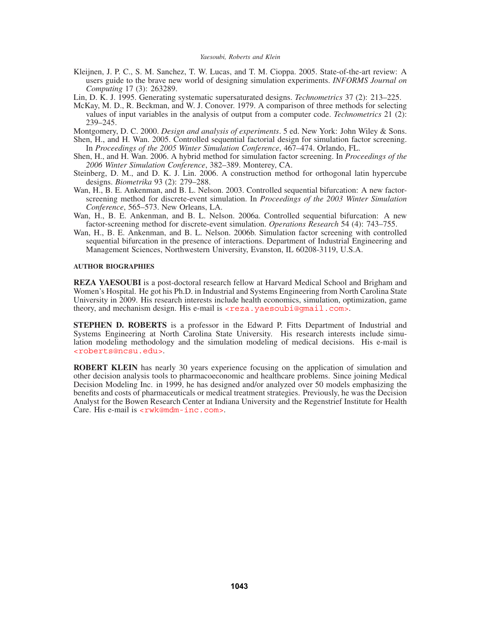- Kleijnen, J. P. C., S. M. Sanchez, T. W. Lucas, and T. M. Cioppa. 2005. State-of-the-art review: A users guide to the brave new world of designing simulation experiments. *INFORMS Journal on Computing* 17 (3): 263289.
- Lin, D. K. J. 1995. Generating systematic supersaturated designs. *Technometrics* 37 (2): 213–225.
- McKay, M. D., R. Beckman, and W. J. Conover. 1979. A comparison of three methods for selecting values of input variables in the analysis of output from a computer code. *Technometrics* 21 (2): 239–245.

Montgomery, D. C. 2000. *Design and analysis of experiments*. 5 ed. New York: John Wiley & Sons.

- Shen, H., and H. Wan. 2005. Controlled sequential factorial design for simulation factor screening. In *Proceedings of the 2005 Winter Simulation Conference*, 467–474. Orlando, FL.
- Shen, H., and H. Wan. 2006. A hybrid method for simulation factor screening. In *Proceedings of the 2006 Winter Simulation Conference*, 382–389. Monterey, CA.
- Steinberg, D. M., and D. K. J. Lin. 2006. A construction method for orthogonal latin hypercube designs. *Biometrika* 93 (2): 279–288.
- Wan, H., B. E. Ankenman, and B. L. Nelson. 2003. Controlled sequential bifurcation: A new factorscreening method for discrete-event simulation. In *Proceedings of the 2003 Winter Simulation Conference*, 565–573. New Orleans, LA.
- Wan, H., B. E. Ankenman, and B. L. Nelson. 2006a. Controlled sequential bifurcation: A new factor-screening method for discrete-event simulation. *Operations Research* 54 (4): 743–755.
- Wan, H., B. E. Ankenman, and B. L. Nelson. 2006b. Simulation factor screening with controlled sequential bifurcation in the presence of interactions. Department of Industrial Engineering and Management Sciences, Northwestern University, Evanston, IL 60208-3119, U.S.A.

## **AUTHOR BIOGRAPHIES**

**REZA YAESOUBI** is a post-doctoral research fellow at Harvard Medical School and Brigham and Women's Hospital. He got his Ph.D. in Industrial and Systems Engineering from North Carolina State University in 2009. His research interests include health economics, simulation, optimization, game theory, and mechanism design. His e-mail is <reza.yaesoubi@qmail.com>.

**STEPHEN D. ROBERTS** is a professor in the Edward P. Fitts Department of Industrial and Systems Engineering at North Carolina State University. His research interests include simulation modeling methodology and the simulation modeling of medical decisions. His e-mail is <roberts@ncsu.edu>.

**ROBERT KLEIN** has nearly 30 years experience focusing on the application of simulation and other decision analysis tools to pharmacoeconomic and healthcare problems. Since joining Medical Decision Modeling Inc. in 1999, he has designed and/or analyzed over 50 models emphasizing the benefits and costs of pharmaceuticals or medical treatment strategies. Previously, he was the Decision Analyst for the Bowen Research Center at Indiana University and the Regenstrief Institute for Health Care. His e-mail is <rwk@mdm-inc.com>.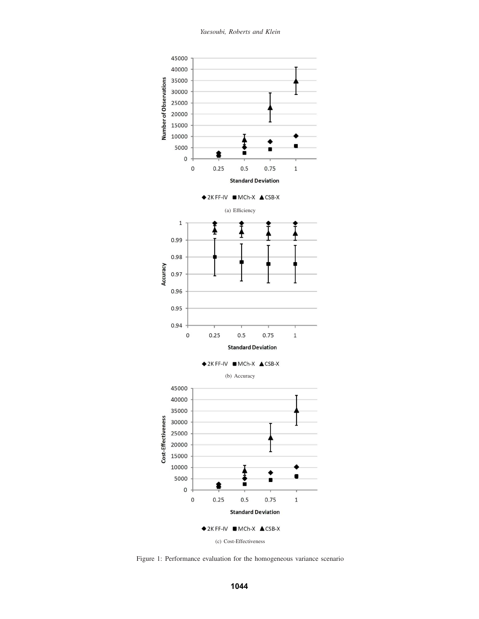*Yaesoubi, Roberts and Klein*



Figure 1: Performance evaluation for the homogeneous variance scenario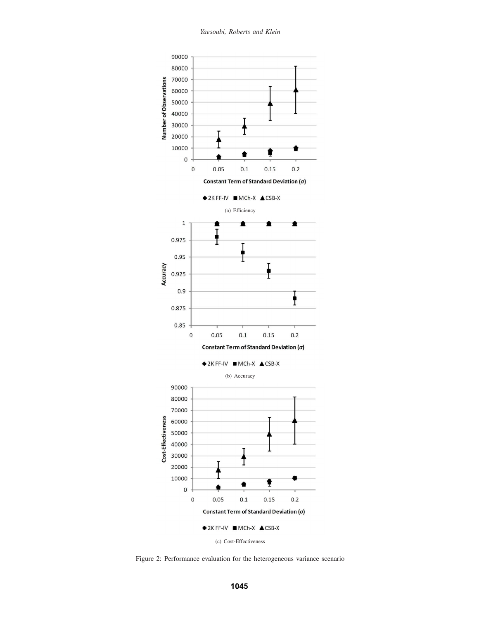*Yaesoubi, Roberts and Klein*



Figure 2: Performance evaluation for the heterogeneous variance scenario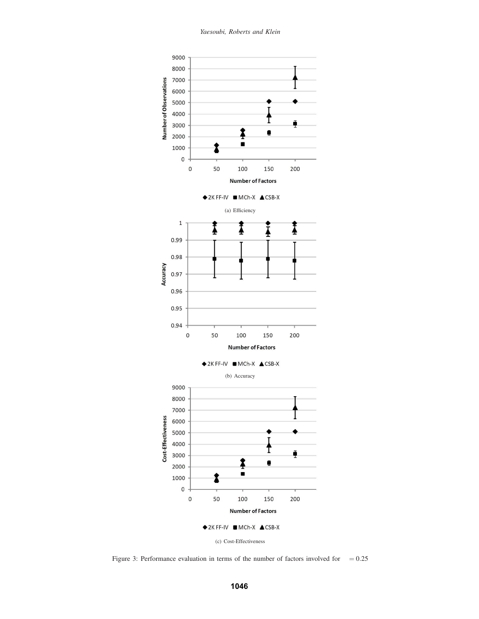*Yaesoubi, Roberts and Klein*



Figure 3: Performance evaluation in terms of the number of factors involved for  $\sigma = 0.25$